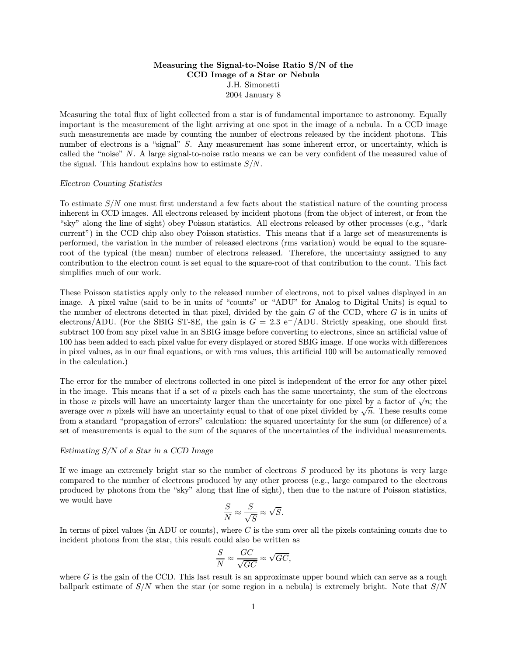## Measuring the Signal-to-Noise Ratio S/N of the CCD Image of a Star or Nebula J.H. Simonetti 2004 January 8

Measuring the total flux of light collected from a star is of fundamental importance to astronomy. Equally important is the measurement of the light arriving at one spot in the image of a nebula. In a CCD image such measurements are made by counting the number of electrons released by the incident photons. This number of electrons is a "signal" S. Any measurement has some inherent error, or uncertainty, which is called the "noise" N. A large signal-to-noise ratio means we can be very confident of the measured value of the signal. This handout explains how to estimate  $S/N$ .

## Electron Counting Statistics

To estimate S/N one must first understand a few facts about the statistical nature of the counting process inherent in CCD images. All electrons released by incident photons (from the object of interest, or from the "sky" along the line of sight) obey Poisson statistics. All electrons released by other processes (e.g., "dark current") in the CCD chip also obey Poisson statistics. This means that if a large set of measurements is performed, the variation in the number of released electrons (rms variation) would be equal to the squareroot of the typical (the mean) number of electrons released. Therefore, the uncertainty assigned to any contribution to the electron count is set equal to the square-root of that contribution to the count. This fact simplifies much of our work.

These Poisson statistics apply only to the released number of electrons, not to pixel values displayed in an image. A pixel value (said to be in units of "counts" or "ADU" for Analog to Digital Units) is equal to the number of electrons detected in that pixel, divided by the gain  $G$  of the CCD, where  $G$  is in units of electrons/ADU. (For the SBIG ST-8E, the gain is  $G = 2.3 \text{ e}^{-}/\text{ADU}$ . Strictly speaking, one should first subtract 100 from any pixel value in an SBIG image before converting to electrons, since an artificial value of 100 has been added to each pixel value for every displayed or stored SBIG image. If one works with differences in pixel values, as in our final equations, or with rms values, this artificial 100 will be automatically removed in the calculation.)

The error for the number of electrons collected in one pixel is independent of the error for any other pixel in the image. This means that if a set of  $n$  pixels each has the same uncertainty, the sum of the electrons in those *n* pixels will have an uncertainty larger than the uncertainty for one pixel by a factor of  $\sqrt{n}$ ; the average over n pixels will have an uncertainty equal to that of one pixel divided by  $\sqrt{n}$ . These results come from a standard "propagation of errors" calculation: the squared uncertainty for the sum (or difference) of a set of measurements is equal to the sum of the squares of the uncertainties of the individual measurements.

## Estimating S/N of a Star in a CCD Image

If we image an extremely bright star so the number of electrons  $S$  produced by its photons is very large compared to the number of electrons produced by any other process (e.g., large compared to the electrons produced by photons from the "sky" along that line of sight), then due to the nature of Poisson statistics, we would have

$$
\frac{S}{N} \approx \frac{S}{\sqrt{S}} \approx \sqrt{S}.
$$

In terms of pixel values (in ADU or counts), where C is the sum over all the pixels containing counts due to incident photons from the star, this result could also be written as

$$
\frac{S}{N} \approx \frac{GC}{\sqrt{GC}} \approx \sqrt{GC},
$$

where  $G$  is the gain of the CCD. This last result is an approximate upper bound which can serve as a rough ballpark estimate of  $S/N$  when the star (or some region in a nebula) is extremely bright. Note that  $S/N$